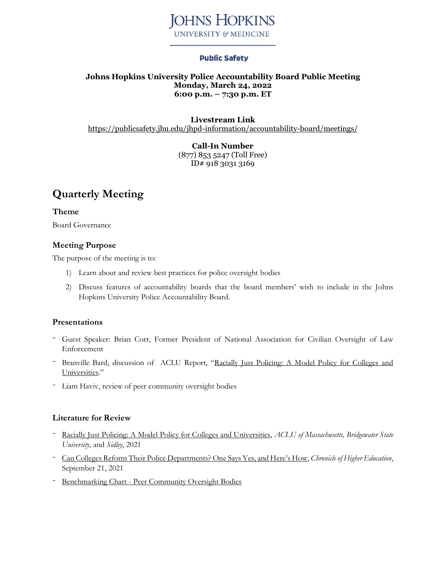

## **Public Safety**

### **Johns Hopkins University Police Accountability Board Public Meeting Monday, March 24, 2022 6:00 p.m. – 7:30 p.m. ET**

# **Livestream Link**

<https://publicsafety.jhu.edu/jhpd-information/accountability-board/meetings/>

**Call-In Number** (877) 853 5247 (Toll Free) ID# 918 3031 3169

# **Quarterly Meeting**

**Theme** Board Governance

## **Meeting Purpose**

The purpose of the meeting is to:

- 1) Learn about and review best practices for police oversight bodies
- 2) Discuss features of accountability boards that the board members' wish to include in the Johns Hopkins University Police Accountability Board.

### **Presentations**

- Guest Speaker: Brian Corr, Former President of National Association for Civilian Oversight of Law Enforcement
- Branville Bard, discussion of ACLU Report, "Racially Just [Policing:](https://www.aclum.org/sites/default/files/field_documents/150016_aclum_bridgewater_police_report_d4_singles.pdf) A Model Policy for Colleges and [Universities](https://www.aclum.org/sites/default/files/field_documents/150016_aclum_bridgewater_police_report_d4_singles.pdf)."
- Liam Haviv, review of peer community oversight bodies

### **Literature for Review**

- Racially Just Policing: A Model Policy for Colleges and [Universities,](https://www.aclum.org/sites/default/files/field_documents/150016_aclum_bridgewater_police_report_d4_singles.pdf) *ACLU of Massachusetts, Bridgewater State University,* and *Sidley*, 2021
- Can Colleges Reform Their Police [Departments?](https://www.chronicle.com/article/can-colleges-reform-their-police-departments-one-says-yes-and-heres-how?utm_source=Iterable&utm_medium=email&utm_campaign=campaign_2909278_nl_Academe-Today_date_20210922&cid=at&source=ams&sourceid=) One Says Yes, and Here's How, *Chronicle of Higher Education*, September 21, 2021
- [Benchmarking](https://publicsafety.jhu.edu/assets/uploads/sites/9/2022/03/Benchmarking-Peer-Oversight-Bodies-03.11.2022.pdf) Chart Peer Community Oversight Bodies